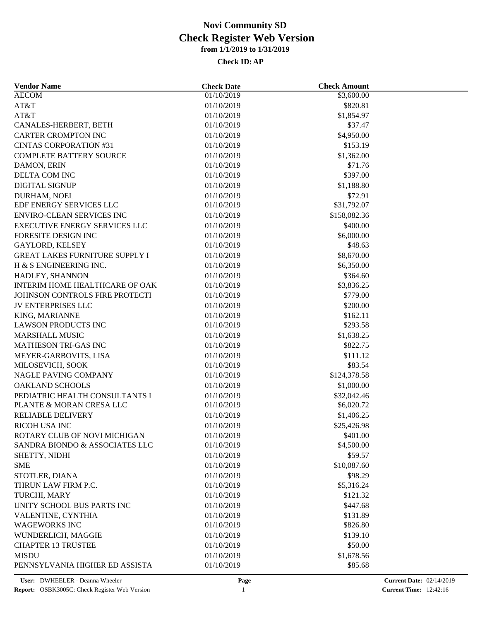| <b>Vendor Name</b>                                         | <b>Check Date</b> | <b>Check Amount</b> |  |
|------------------------------------------------------------|-------------------|---------------------|--|
| <b>AECOM</b>                                               | 01/10/2019        | \$3,600.00          |  |
| AT&T                                                       | 01/10/2019        | \$820.81            |  |
| AT&T                                                       | 01/10/2019        | \$1,854.97          |  |
| CANALES-HERBERT, BETH                                      | 01/10/2019        | \$37.47             |  |
| <b>CARTER CROMPTON INC</b>                                 | 01/10/2019        | \$4,950.00          |  |
| <b>CINTAS CORPORATION #31</b>                              | 01/10/2019        | \$153.19            |  |
| <b>COMPLETE BATTERY SOURCE</b>                             | 01/10/2019        | \$1,362.00          |  |
| DAMON, ERIN                                                | 01/10/2019        | \$71.76             |  |
| DELTA COM INC                                              | 01/10/2019        | \$397.00            |  |
| <b>DIGITAL SIGNUP</b>                                      | 01/10/2019        | \$1,188.80          |  |
| DURHAM, NOEL                                               | 01/10/2019        | \$72.91             |  |
| EDF ENERGY SERVICES LLC                                    | 01/10/2019        | \$31,792.07         |  |
| <b>ENVIRO-CLEAN SERVICES INC</b>                           | 01/10/2019        | \$158,082.36        |  |
| EXECUTIVE ENERGY SERVICES LLC                              | 01/10/2019        | \$400.00            |  |
| FORESITE DESIGN INC                                        | 01/10/2019        | \$6,000.00          |  |
| <b>GAYLORD, KELSEY</b>                                     | 01/10/2019        | \$48.63             |  |
| <b>GREAT LAKES FURNITURE SUPPLY I</b>                      | 01/10/2019        | \$8,670.00          |  |
| H & S ENGINEERING INC.                                     | 01/10/2019        | \$6,350.00          |  |
| HADLEY, SHANNON                                            | 01/10/2019        | \$364.60            |  |
| INTERIM HOME HEALTHCARE OF OAK                             | 01/10/2019        | \$3,836.25          |  |
| JOHNSON CONTROLS FIRE PROTECTI                             | 01/10/2019        | \$779.00            |  |
| <b>JV ENTERPRISES LLC</b>                                  | 01/10/2019        | \$200.00            |  |
| KING, MARIANNE                                             | 01/10/2019        | \$162.11            |  |
| <b>LAWSON PRODUCTS INC</b>                                 | 01/10/2019        | \$293.58            |  |
| <b>MARSHALL MUSIC</b>                                      | 01/10/2019        | \$1,638.25          |  |
| MATHESON TRI-GAS INC                                       | 01/10/2019        | \$822.75            |  |
| MEYER-GARBOVITS, LISA                                      | 01/10/2019        | \$111.12            |  |
| MILOSEVICH, SOOK                                           | 01/10/2019        | \$83.54             |  |
| NAGLE PAVING COMPANY                                       | 01/10/2019        | \$124,378.58        |  |
| <b>OAKLAND SCHOOLS</b>                                     |                   |                     |  |
|                                                            | 01/10/2019        | \$1,000.00          |  |
| PEDIATRIC HEALTH CONSULTANTS I<br>PLANTE & MORAN CRESA LLC | 01/10/2019        | \$32,042.46         |  |
|                                                            | 01/10/2019        | \$6,020.72          |  |
| RELIABLE DELIVERY                                          | 01/10/2019        | \$1,406.25          |  |
| RICOH USA INC                                              | 01/10/2019        | \$25,426.98         |  |
| ROTARY CLUB OF NOVI MICHIGAN                               | 01/10/2019        | \$401.00            |  |
| SANDRA BIONDO & ASSOCIATES LLC                             | 01/10/2019        | \$4,500.00          |  |
| SHETTY, NIDHI                                              | 01/10/2019        | \$59.57             |  |
| <b>SME</b>                                                 | 01/10/2019        | \$10,087.60         |  |
| STOTLER, DIANA                                             | 01/10/2019        | \$98.29             |  |
| THRUN LAW FIRM P.C.                                        | 01/10/2019        | \$5,316.24          |  |
| TURCHI, MARY                                               | 01/10/2019        | \$121.32            |  |
| UNITY SCHOOL BUS PARTS INC                                 | 01/10/2019        | \$447.68            |  |
| VALENTINE, CYNTHIA                                         | 01/10/2019        | \$131.89            |  |
| <b>WAGEWORKS INC</b>                                       | 01/10/2019        | \$826.80            |  |
| WUNDERLICH, MAGGIE                                         | 01/10/2019        | \$139.10            |  |
| <b>CHAPTER 13 TRUSTEE</b>                                  | 01/10/2019        | \$50.00             |  |
| <b>MISDU</b>                                               | 01/10/2019        | \$1,678.56          |  |
| PENNSYLVANIA HIGHER ED ASSISTA                             | 01/10/2019        | \$85.68             |  |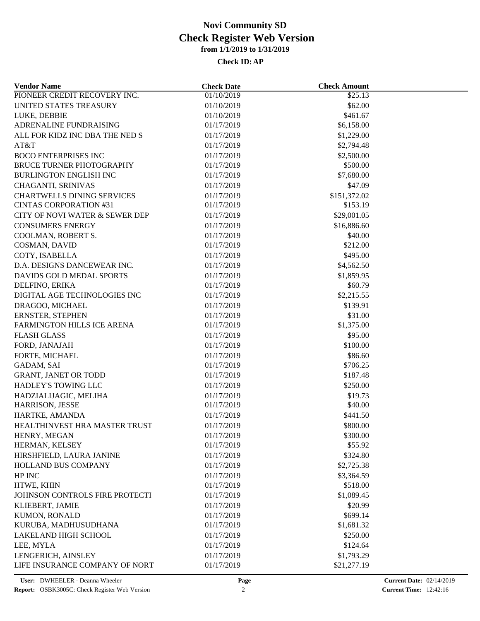| <b>Vendor Name</b>                | <b>Check Date</b> | <b>Check Amount</b> |  |
|-----------------------------------|-------------------|---------------------|--|
| PIONEER CREDIT RECOVERY INC.      | 01/10/2019        | \$25.13             |  |
| UNITED STATES TREASURY            | 01/10/2019        | \$62.00             |  |
| LUKE, DEBBIE                      | 01/10/2019        | \$461.67            |  |
| ADRENALINE FUNDRAISING            | 01/17/2019        | \$6,158.00          |  |
| ALL FOR KIDZ INC DBA THE NED S    | 01/17/2019        | \$1,229.00          |  |
| AT&T                              | 01/17/2019        | \$2,794.48          |  |
| <b>BOCO ENTERPRISES INC</b>       | 01/17/2019        | \$2,500.00          |  |
| BRUCE TURNER PHOTOGRAPHY          | 01/17/2019        | \$500.00            |  |
| <b>BURLINGTON ENGLISH INC</b>     | 01/17/2019        | \$7,680.00          |  |
| CHAGANTI, SRINIVAS                | 01/17/2019        | \$47.09             |  |
| <b>CHARTWELLS DINING SERVICES</b> | 01/17/2019        | \$151,372.02        |  |
| <b>CINTAS CORPORATION #31</b>     | 01/17/2019        | \$153.19            |  |
| CITY OF NOVI WATER & SEWER DEP    | 01/17/2019        | \$29,001.05         |  |
| <b>CONSUMERS ENERGY</b>           | 01/17/2019        | \$16,886.60         |  |
| COOLMAN, ROBERT S.                | 01/17/2019        | \$40.00             |  |
| COSMAN, DAVID                     | 01/17/2019        | \$212.00            |  |
| COTY, ISABELLA                    | 01/17/2019        | \$495.00            |  |
| D.A. DESIGNS DANCEWEAR INC.       | 01/17/2019        | \$4,562.50          |  |
| DAVIDS GOLD MEDAL SPORTS          | 01/17/2019        | \$1,859.95          |  |
| DELFINO, ERIKA                    | 01/17/2019        | \$60.79             |  |
| DIGITAL AGE TECHNOLOGIES INC      | 01/17/2019        | \$2,215.55          |  |
| DRAGOO, MICHAEL                   | 01/17/2019        | \$139.91            |  |
| ERNSTER, STEPHEN                  | 01/17/2019        | \$31.00             |  |
| FARMINGTON HILLS ICE ARENA        | 01/17/2019        | \$1,375.00          |  |
| <b>FLASH GLASS</b>                | 01/17/2019        | \$95.00             |  |
| FORD, JANAJAH                     | 01/17/2019        | \$100.00            |  |
| FORTE, MICHAEL                    | 01/17/2019        | \$86.60             |  |
| GADAM, SAI                        | 01/17/2019        | \$706.25            |  |
| <b>GRANT, JANET OR TODD</b>       | 01/17/2019        | \$187.48            |  |
| HADLEY'S TOWING LLC               | 01/17/2019        | \$250.00            |  |
| HADZIALIJAGIC, MELIHA             | 01/17/2019        | \$19.73             |  |
| HARRISON, JESSE                   | 01/17/2019        | \$40.00             |  |
| HARTKE, AMANDA                    | 01/17/2019        | \$441.50            |  |
| HEALTHINVEST HRA MASTER TRUST     | 01/17/2019        | \$800.00            |  |
| HENRY, MEGAN                      | 01/17/2019        | \$300.00            |  |
| HERMAN, KELSEY                    | 01/17/2019        | \$55.92             |  |
| HIRSHFIELD, LAURA JANINE          | 01/17/2019        | \$324.80            |  |
| HOLLAND BUS COMPANY               | 01/17/2019        | \$2,725.38          |  |
| HP INC                            | 01/17/2019        | \$3,364.59          |  |
| HTWE, KHIN                        | 01/17/2019        | \$518.00            |  |
| JOHNSON CONTROLS FIRE PROTECTI    | 01/17/2019        | \$1,089.45          |  |
|                                   |                   | \$20.99             |  |
| KLIEBERT, JAMIE                   | 01/17/2019        |                     |  |
| KUMON, RONALD                     | 01/17/2019        | \$699.14            |  |
| KURUBA, MADHUSUDHANA              | 01/17/2019        | \$1,681.32          |  |
| <b>LAKELAND HIGH SCHOOL</b>       | 01/17/2019        | \$250.00            |  |
| LEE, MYLA                         | 01/17/2019        | \$124.64            |  |
| LENGERICH, AINSLEY                | 01/17/2019        | \$1,793.29          |  |
| LIFE INSURANCE COMPANY OF NORT    | 01/17/2019        | \$21,277.19         |  |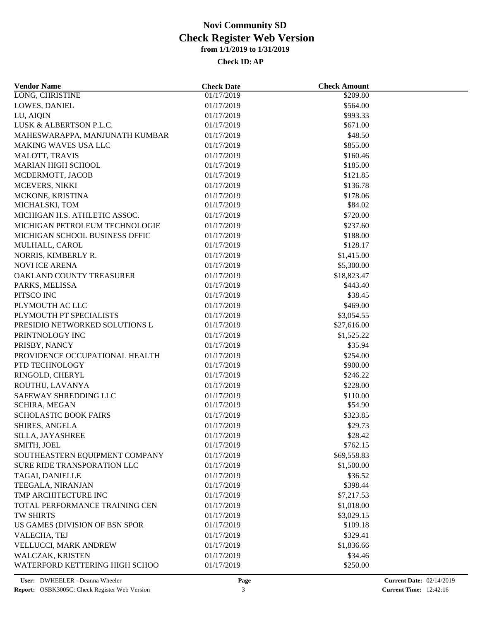| <b>Vendor Name</b>                        | <b>Check Date</b> | <b>Check Amount</b> |  |
|-------------------------------------------|-------------------|---------------------|--|
| LONG, CHRISTINE                           | 01/17/2019        | \$209.80            |  |
| LOWES, DANIEL                             | 01/17/2019        | \$564.00            |  |
| LU, AIQIN                                 | 01/17/2019        | \$993.33            |  |
| LUSK & ALBERTSON P.L.C.                   | 01/17/2019        | \$671.00            |  |
| MAHESWARAPPA, MANJUNATH KUMBAR            | 01/17/2019        | \$48.50             |  |
| <b>MAKING WAVES USA LLC</b>               | 01/17/2019        | \$855.00            |  |
| <b>MALOTT, TRAVIS</b>                     | 01/17/2019        | \$160.46            |  |
| <b>MARIAN HIGH SCHOOL</b>                 | 01/17/2019        | \$185.00            |  |
| MCDERMOTT, JACOB                          | 01/17/2019        | \$121.85            |  |
| MCEVERS, NIKKI                            | 01/17/2019        | \$136.78            |  |
| MCKONE, KRISTINA                          | 01/17/2019        | \$178.06            |  |
| MICHALSKI, TOM                            | 01/17/2019        | \$84.02             |  |
| MICHIGAN H.S. ATHLETIC ASSOC.             | 01/17/2019        | \$720.00            |  |
| MICHIGAN PETROLEUM TECHNOLOGIE            | 01/17/2019        | \$237.60            |  |
| MICHIGAN SCHOOL BUSINESS OFFIC            | 01/17/2019        | \$188.00            |  |
| MULHALL, CAROL                            | 01/17/2019        | \$128.17            |  |
| NORRIS, KIMBERLY R.                       | 01/17/2019        | \$1,415.00          |  |
| <b>NOVI ICE ARENA</b>                     | 01/17/2019        | \$5,300.00          |  |
| OAKLAND COUNTY TREASURER                  | 01/17/2019        | \$18,823.47         |  |
| PARKS, MELISSA                            | 01/17/2019        | \$443.40            |  |
| PITSCO INC                                | 01/17/2019        | \$38.45             |  |
| PLYMOUTH AC LLC                           | 01/17/2019        | \$469.00            |  |
| PLYMOUTH PT SPECIALISTS                   | 01/17/2019        | \$3,054.55          |  |
| PRESIDIO NETWORKED SOLUTIONS L            | 01/17/2019        | \$27,616.00         |  |
| PRINTNOLOGY INC                           | 01/17/2019        | \$1,525.22          |  |
| PRISBY, NANCY                             | 01/17/2019        | \$35.94             |  |
| PROVIDENCE OCCUPATIONAL HEALTH            | 01/17/2019        | \$254.00            |  |
| PTD TECHNOLOGY                            | 01/17/2019        | \$900.00            |  |
| RINGOLD, CHERYL                           | 01/17/2019        | \$246.22            |  |
| ROUTHU, LAVANYA                           | 01/17/2019        | \$228.00            |  |
| SAFEWAY SHREDDING LLC                     | 01/17/2019        | \$110.00            |  |
| SCHIRA, MEGAN                             | 01/17/2019        | \$54.90             |  |
| <b>SCHOLASTIC BOOK FAIRS</b>              | 01/17/2019        | \$323.85            |  |
| SHIRES, ANGELA                            | 01/17/2019        | \$29.73             |  |
| SILLA, JAYASHREE                          | 01/17/2019        | \$28.42             |  |
| SMITH, JOEL                               | 01/17/2019        | \$762.15            |  |
| SOUTHEASTERN EQUIPMENT COMPANY            | 01/17/2019        | \$69,558.83         |  |
| SURE RIDE TRANSPORATION LLC               |                   |                     |  |
|                                           | 01/17/2019        | \$1,500.00          |  |
| TAGAI, DANIELLE                           | 01/17/2019        | \$36.52             |  |
| TEEGALA, NIRANJAN<br>TMP ARCHITECTURE INC | 01/17/2019        | \$398.44            |  |
|                                           | 01/17/2019        | \$7,217.53          |  |
| TOTAL PERFORMANCE TRAINING CEN            | 01/17/2019        | \$1,018.00          |  |
| <b>TW SHIRTS</b>                          | 01/17/2019        | \$3,029.15          |  |
| US GAMES (DIVISION OF BSN SPOR            | 01/17/2019        | \$109.18            |  |
| VALECHA, TEJ                              | 01/17/2019        | \$329.41            |  |
| VELLUCCI, MARK ANDREW                     | 01/17/2019        | \$1,836.66          |  |
| WALCZAK, KRISTEN                          | 01/17/2019        | \$34.46             |  |
| WATERFORD KETTERING HIGH SCHOO            | 01/17/2019        | \$250.00            |  |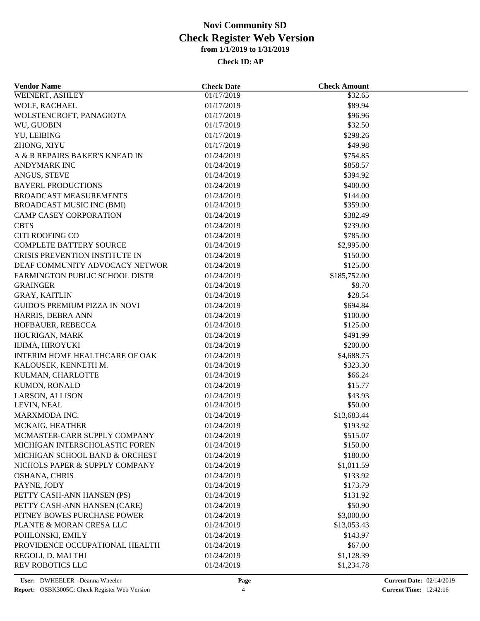| <b>Vendor Name</b>               | <b>Check Date</b> | <b>Check Amount</b> |  |
|----------------------------------|-------------------|---------------------|--|
| WEINERT, ASHLEY                  | 01/17/2019        | \$32.65             |  |
| WOLF, RACHAEL                    | 01/17/2019        | \$89.94             |  |
| WOLSTENCROFT, PANAGIOTA          | 01/17/2019        | \$96.96             |  |
| WU, GUOBIN                       | 01/17/2019        | \$32.50             |  |
| YU, LEIBING                      | 01/17/2019        | \$298.26            |  |
| ZHONG, XIYU                      | 01/17/2019        | \$49.98             |  |
| A & R REPAIRS BAKER'S KNEAD IN   | 01/24/2019        | \$754.85            |  |
| <b>ANDYMARK INC</b>              | 01/24/2019        | \$858.57            |  |
| ANGUS, STEVE                     | 01/24/2019        | \$394.92            |  |
| <b>BAYERL PRODUCTIONS</b>        | 01/24/2019        | \$400.00            |  |
| <b>BROADCAST MEASUREMENTS</b>    | 01/24/2019        | \$144.00            |  |
| <b>BROADCAST MUSIC INC (BMI)</b> | 01/24/2019        | \$359.00            |  |
| CAMP CASEY CORPORATION           | 01/24/2019        | \$382.49            |  |
| <b>CBTS</b>                      | 01/24/2019        | \$239.00            |  |
| <b>CITI ROOFING CO</b>           | 01/24/2019        | \$785.00            |  |
| <b>COMPLETE BATTERY SOURCE</b>   | 01/24/2019        | \$2,995.00          |  |
| CRISIS PREVENTION INSTITUTE IN   | 01/24/2019        | \$150.00            |  |
| DEAF COMMUNITY ADVOCACY NETWOR   | 01/24/2019        | \$125.00            |  |
| FARMINGTON PUBLIC SCHOOL DISTR   | 01/24/2019        | \$185,752.00        |  |
| <b>GRAINGER</b>                  | 01/24/2019        | \$8.70              |  |
| <b>GRAY, KAITLIN</b>             | 01/24/2019        | \$28.54             |  |
| GUIDO'S PREMIUM PIZZA IN NOVI    | 01/24/2019        | \$694.84            |  |
|                                  |                   |                     |  |
| HARRIS, DEBRA ANN                | 01/24/2019        | \$100.00            |  |
| HOFBAUER, REBECCA                | 01/24/2019        | \$125.00            |  |
| HOURIGAN, MARK                   | 01/24/2019        | \$491.99            |  |
| IIJIMA, HIROYUKI                 | 01/24/2019        | \$200.00            |  |
| INTERIM HOME HEALTHCARE OF OAK   | 01/24/2019        | \$4,688.75          |  |
| KALOUSEK, KENNETH M.             | 01/24/2019        | \$323.30            |  |
| KULMAN, CHARLOTTE                | 01/24/2019        | \$66.24             |  |
| KUMON, RONALD                    | 01/24/2019        | \$15.77             |  |
| LARSON, ALLISON                  | 01/24/2019        | \$43.93             |  |
| LEVIN, NEAL                      | 01/24/2019        | \$50.00             |  |
| MARXMODA INC.                    | 01/24/2019        | \$13,683.44         |  |
| MCKAIG, HEATHER                  | 01/24/2019        | \$193.92            |  |
| MCMASTER-CARR SUPPLY COMPANY     | 01/24/2019        | \$515.07            |  |
| MICHIGAN INTERSCHOLASTIC FOREN   | 01/24/2019        | \$150.00            |  |
| MICHIGAN SCHOOL BAND & ORCHEST   | 01/24/2019        | \$180.00            |  |
| NICHOLS PAPER & SUPPLY COMPANY   | 01/24/2019        | \$1,011.59          |  |
| OSHANA, CHRIS                    | 01/24/2019        | \$133.92            |  |
| PAYNE, JODY                      | 01/24/2019        | \$173.79            |  |
| PETTY CASH-ANN HANSEN (PS)       | 01/24/2019        | \$131.92            |  |
| PETTY CASH-ANN HANSEN (CARE)     | 01/24/2019        | \$50.90             |  |
| PITNEY BOWES PURCHASE POWER      | 01/24/2019        | \$3,000.00          |  |
| PLANTE & MORAN CRESA LLC         | 01/24/2019        | \$13,053.43         |  |
| POHLONSKI, EMILY                 | 01/24/2019        | \$143.97            |  |
| PROVIDENCE OCCUPATIONAL HEALTH   | 01/24/2019        | \$67.00             |  |
| REGOLI, D. MAI THI               | 01/24/2019        | \$1,128.39          |  |
| <b>REV ROBOTICS LLC</b>          | 01/24/2019        | \$1,234.78          |  |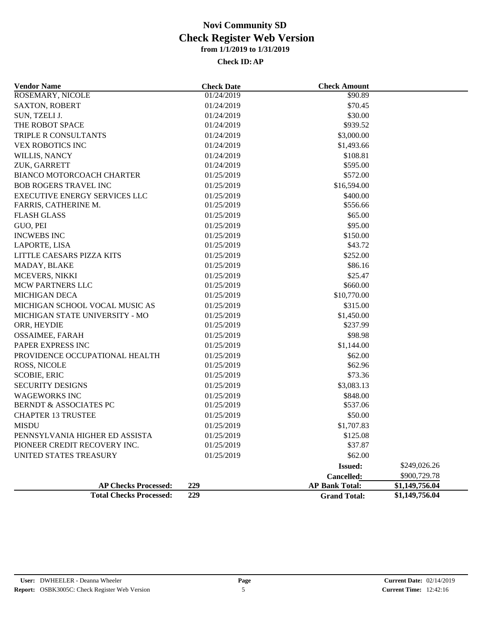| <b>Vendor Name</b>                   | <b>Check Date</b> | <b>Check Amount</b>   |                |
|--------------------------------------|-------------------|-----------------------|----------------|
| ROSEMARY, NICOLE                     | 01/24/2019        | \$90.89               |                |
| <b>SAXTON, ROBERT</b>                | 01/24/2019        | \$70.45               |                |
| SUN, TZELI J.                        | 01/24/2019        | \$30.00               |                |
| THE ROBOT SPACE                      | 01/24/2019        | \$939.52              |                |
| TRIPLE R CONSULTANTS                 | 01/24/2019        | \$3,000.00            |                |
| <b>VEX ROBOTICS INC</b>              | 01/24/2019        | \$1,493.66            |                |
| WILLIS, NANCY                        | 01/24/2019        | \$108.81              |                |
| ZUK, GARRETT                         | 01/24/2019        | \$595.00              |                |
| <b>BIANCO MOTORCOACH CHARTER</b>     | 01/25/2019        | \$572.00              |                |
| <b>BOB ROGERS TRAVEL INC</b>         | 01/25/2019        | \$16,594.00           |                |
| <b>EXECUTIVE ENERGY SERVICES LLC</b> | 01/25/2019        | \$400.00              |                |
| FARRIS, CATHERINE M.                 | 01/25/2019        | \$556.66              |                |
| <b>FLASH GLASS</b>                   | 01/25/2019        | \$65.00               |                |
| GUO, PEI                             | 01/25/2019        | \$95.00               |                |
| <b>INCWEBS INC</b>                   | 01/25/2019        | \$150.00              |                |
| LAPORTE, LISA                        | 01/25/2019        | \$43.72               |                |
| LITTLE CAESARS PIZZA KITS            | 01/25/2019        | \$252.00              |                |
| MADAY, BLAKE                         | 01/25/2019        | \$86.16               |                |
| MCEVERS, NIKKI                       | 01/25/2019        | \$25.47               |                |
| <b>MCW PARTNERS LLC</b>              | 01/25/2019        | \$660.00              |                |
| <b>MICHIGAN DECA</b>                 | 01/25/2019        | \$10,770.00           |                |
| MICHIGAN SCHOOL VOCAL MUSIC AS       | 01/25/2019        | \$315.00              |                |
| MICHIGAN STATE UNIVERSITY - MO       | 01/25/2019        | \$1,450.00            |                |
| ORR, HEYDIE                          | 01/25/2019        | \$237.99              |                |
| OSSAIMEE, FARAH                      | 01/25/2019        | \$98.98               |                |
| PAPER EXPRESS INC                    | 01/25/2019        | \$1,144.00            |                |
| PROVIDENCE OCCUPATIONAL HEALTH       | 01/25/2019        | \$62.00               |                |
| ROSS, NICOLE                         | 01/25/2019        | \$62.96               |                |
| <b>SCOBIE, ERIC</b>                  | 01/25/2019        | \$73.36               |                |
| <b>SECURITY DESIGNS</b>              | 01/25/2019        | \$3,083.13            |                |
| <b>WAGEWORKS INC</b>                 | 01/25/2019        | \$848.00              |                |
| <b>BERNDT &amp; ASSOCIATES PC</b>    | 01/25/2019        | \$537.06              |                |
| <b>CHAPTER 13 TRUSTEE</b>            | 01/25/2019        | \$50.00               |                |
| <b>MISDU</b>                         | 01/25/2019        | \$1,707.83            |                |
| PENNSYLVANIA HIGHER ED ASSISTA       | 01/25/2019        | \$125.08              |                |
| PIONEER CREDIT RECOVERY INC.         | 01/25/2019        | \$37.87               |                |
| UNITED STATES TREASURY               | 01/25/2019        | \$62.00               |                |
|                                      |                   | <b>Issued:</b>        | \$249,026.26   |
|                                      |                   | Cancelled:            | \$900,729.78   |
| <b>AP Checks Processed:</b>          | 229               | <b>AP Bank Total:</b> | \$1,149,756.04 |
| <b>Total Checks Processed:</b>       | 229               | <b>Grand Total:</b>   | \$1,149,756.04 |